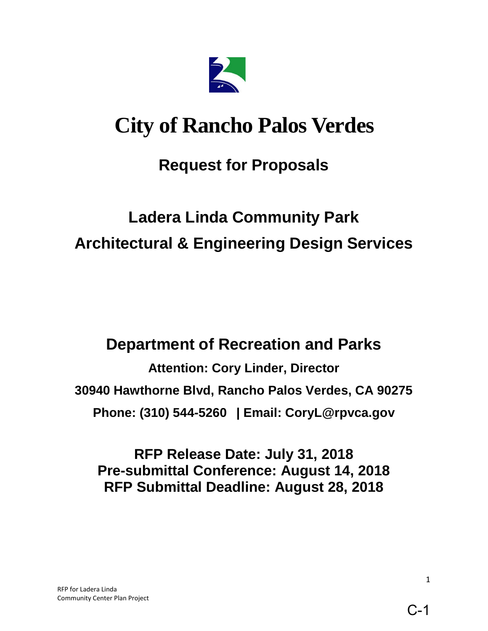

# **City of Rancho Palos Verdes**

# **Request for Proposals**

# **Ladera Linda Community Park Architectural & Engineering Design Services**

# **Department of Recreation and Parks**

**Attention: Cory Linder, Director 30940 Hawthorne Blvd, Rancho Palos Verdes, CA 90275 Phone: (310) 544-5260 | Email: CoryL@rpvca.gov** 

**RFP Release Date: July 31, 2018 Pre-submittal Conference: August 14, 2018 RFP Submittal Deadline: August 28, 2018**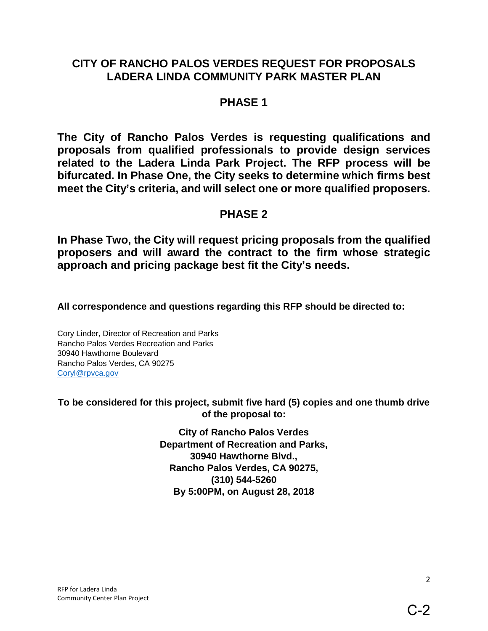# **CITY OF RANCHO PALOS VERDES REQUEST FOR PROPOSALS LADERA LINDA COMMUNITY PARK MASTER PLAN**

# **PHASE 1**

**The City of Rancho Palos Verdes is requesting qualifications and proposals from qualified professionals to provide design services related to the Ladera Linda Park Project. The RFP process will be bifurcated. In Phase One, the City seeks to determine which firms best meet the City's criteria, and will select one or more qualified proposers.** 

# **PHASE 2**

**In Phase Two, the City will request pricing proposals from the qualified proposers and will award the contract to the firm whose strategic approach and pricing package best fit the City's needs.**

**All correspondence and questions regarding this RFP should be directed to:** 

Cory Linder, Director of Recreation and Parks Rancho Palos Verdes Recreation and Parks 30940 Hawthorne Boulevard Rancho Palos Verdes, CA 90275 [Coryl@rpvca.gov](mailto:Coryl@rpvca.gov) 

**To be considered for this project, submit five hard (5) copies and one thumb drive of the proposal to:**

> **City of Rancho Palos Verdes Department of Recreation and Parks, 30940 Hawthorne Blvd., Rancho Palos Verdes, CA 90275, (310) 544-5260 By 5:00PM, on August 28, 2018**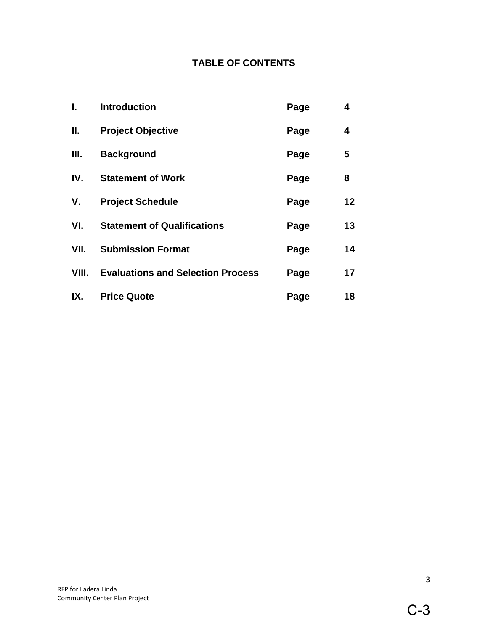# **TABLE OF CONTENTS**

| ı.    | <b>Introduction</b>                      | Page | 4  |
|-------|------------------------------------------|------|----|
| II.   | <b>Project Objective</b>                 | Page | 4  |
| III.  | <b>Background</b>                        | Page | 5  |
| IV.   | <b>Statement of Work</b>                 | Page | 8  |
| V.    | <b>Project Schedule</b>                  | Page | 12 |
| VI.   | <b>Statement of Qualifications</b>       | Page | 13 |
| VII.  | <b>Submission Format</b>                 | Page | 14 |
| VIII. | <b>Evaluations and Selection Process</b> | Page | 17 |
| IX.   | <b>Price Quote</b>                       | Page | 18 |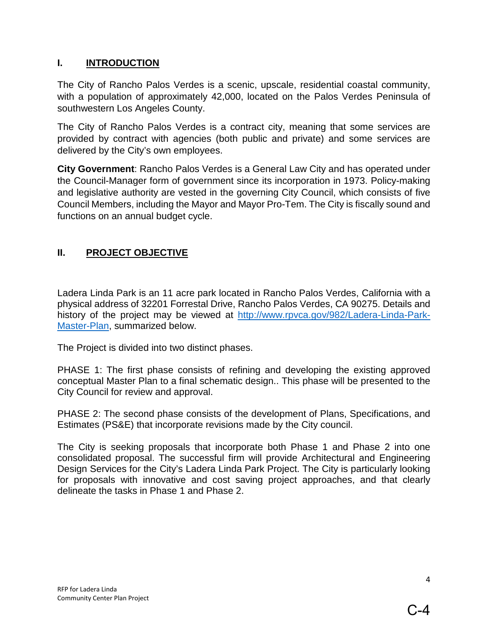#### **I. INTRODUCTION**

The City of Rancho Palos Verdes is a scenic, upscale, residential coastal community, with a population of approximately 42,000, located on the Palos Verdes Peninsula of southwestern Los Angeles County.

The City of Rancho Palos Verdes is a contract city, meaning that some services are provided by contract with agencies (both public and private) and some services are delivered by the City's own employees.

**City Government**: Rancho Palos Verdes is a General Law City and has operated under the Council-Manager form of government since its incorporation in 1973. Policy-making and legislative authority are vested in the governing City Council, which consists of five Council Members, including the Mayor and Mayor Pro-Tem. The City is fiscally sound and functions on an annual budget cycle.

# **II. PROJECT OBJECTIVE**

Ladera Linda Park is an 11 acre park located in Rancho Palos Verdes, California with a physical address of 32201 Forrestal Drive, Rancho Palos Verdes, CA 90275. Details and history of the project may be viewed at [http://www.rpvca.gov/982/Ladera-Linda-Park-](http://www.rpvca.gov/982/Ladera-Linda-Park-Master-Plan)[Master-Plan,](http://www.rpvca.gov/982/Ladera-Linda-Park-Master-Plan) summarized below.

The Project is divided into two distinct phases.

PHASE 1: The first phase consists of refining and developing the existing approved conceptual Master Plan to a final schematic design.. This phase will be presented to the City Council for review and approval.

PHASE 2: The second phase consists of the development of Plans, Specifications, and Estimates (PS&E) that incorporate revisions made by the City council.

The City is seeking proposals that incorporate both Phase 1 and Phase 2 into one consolidated proposal. The successful firm will provide Architectural and Engineering Design Services for the City's Ladera Linda Park Project. The City is particularly looking for proposals with innovative and cost saving project approaches, and that clearly delineate the tasks in Phase 1 and Phase 2.

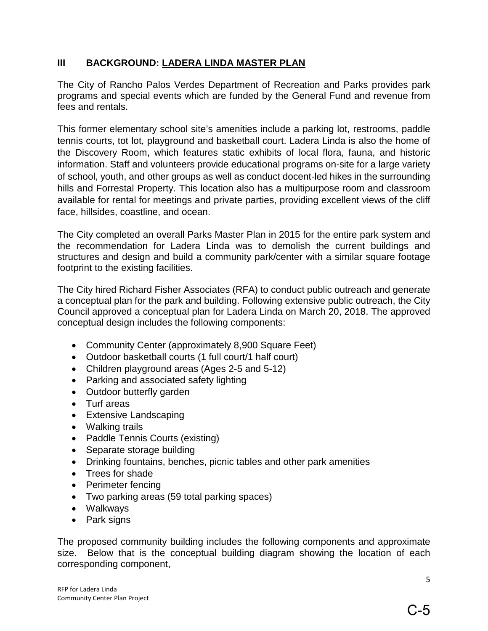#### **III BACKGROUND: LADERA LINDA MASTER PLAN**

The City of Rancho Palos Verdes Department of Recreation and Parks provides park programs and special events which are funded by the General Fund and revenue from fees and rentals.

This former elementary school site's amenities include a parking lot, restrooms, paddle tennis courts, tot lot, playground and basketball court. Ladera Linda is also the home of the Discovery Room, which features static exhibits of local flora, fauna, and historic information. Staff and volunteers provide educational programs on-site for a large variety of school, youth, and other groups as well as conduct docent-led hikes in the surrounding hills and Forrestal Property. This location also has a multipurpose room and classroom available for rental for meetings and private parties, providing excellent views of the cliff face, hillsides, coastline, and ocean.

The City completed an overall Parks Master Plan in 2015 for the entire park system and the recommendation for Ladera Linda was to demolish the current buildings and structures and design and build a community park/center with a similar square footage footprint to the existing facilities.

The City hired Richard Fisher Associates (RFA) to conduct public outreach and generate a conceptual plan for the park and building. Following extensive public outreach, the City Council approved a conceptual plan for Ladera Linda on March 20, 2018. The approved conceptual design includes the following components:

- Community Center (approximately 8,900 Square Feet)
- Outdoor basketball courts (1 full court/1 half court)
- Children playground areas (Ages 2-5 and 5-12)
- Parking and associated safety lighting
- Outdoor butterfly garden
- Turf areas
- Extensive Landscaping
- Walking trails
- Paddle Tennis Courts (existing)
- Separate storage building
- Drinking fountains, benches, picnic tables and other park amenities
- Trees for shade
- Perimeter fencing
- Two parking areas (59 total parking spaces)
- Walkways
- Park signs

The proposed community building includes the following components and approximate size. Below that is the conceptual building diagram showing the location of each corresponding component,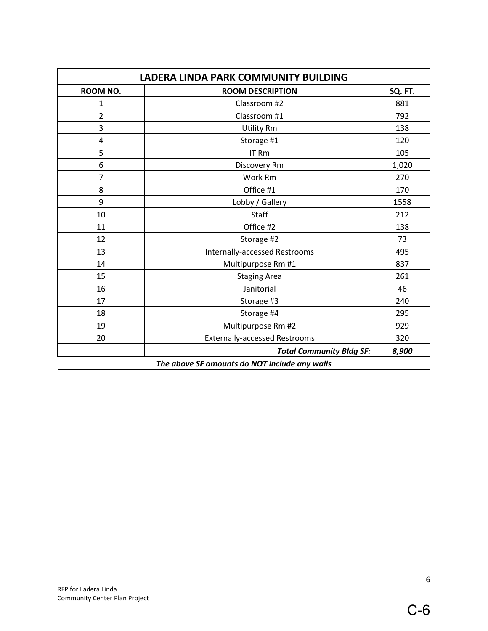| <b>LADERA LINDA PARK COMMUNITY BUILDING</b>   |                                      |         |  |  |  |  |
|-----------------------------------------------|--------------------------------------|---------|--|--|--|--|
| ROOM NO.                                      | <b>ROOM DESCRIPTION</b>              | SQ. FT. |  |  |  |  |
| 1                                             | Classroom #2                         |         |  |  |  |  |
| $\overline{2}$                                | Classroom #1                         | 792     |  |  |  |  |
| 3                                             | <b>Utility Rm</b>                    | 138     |  |  |  |  |
| 4                                             | Storage #1                           | 120     |  |  |  |  |
| 5                                             | IT Rm                                | 105     |  |  |  |  |
| 6                                             | Discovery Rm                         | 1,020   |  |  |  |  |
| 7                                             | Work Rm                              | 270     |  |  |  |  |
| 8                                             | Office #1                            | 170     |  |  |  |  |
| 9                                             | Lobby / Gallery                      | 1558    |  |  |  |  |
| 10                                            | Staff                                | 212     |  |  |  |  |
| 11                                            | Office #2                            | 138     |  |  |  |  |
| 12                                            | Storage #2                           | 73      |  |  |  |  |
| 13                                            | Internally-accessed Restrooms        | 495     |  |  |  |  |
| 14                                            | Multipurpose Rm #1                   | 837     |  |  |  |  |
| 15                                            | <b>Staging Area</b>                  | 261     |  |  |  |  |
| 16                                            | Janitorial                           | 46      |  |  |  |  |
| 17                                            | Storage #3                           | 240     |  |  |  |  |
| 18                                            | Storage #4                           | 295     |  |  |  |  |
| 19                                            | Multipurpose Rm #2                   | 929     |  |  |  |  |
| 20                                            | <b>Externally-accessed Restrooms</b> | 320     |  |  |  |  |
|                                               | <b>Total Community Bldg SF:</b>      | 8,900   |  |  |  |  |
| The above SF amounts do NOT include any walls |                                      |         |  |  |  |  |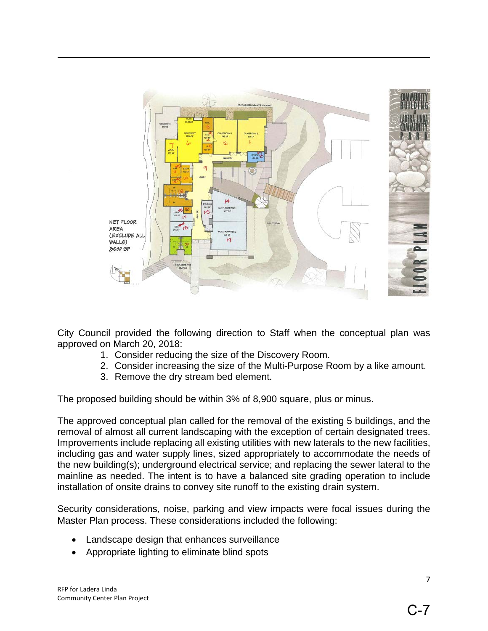

City Council provided the following direction to Staff when the conceptual plan was approved on March 20, 2018:

- 1. Consider reducing the size of the Discovery Room.
- 2. Consider increasing the size of the Multi-Purpose Room by a like amount.
- 3. Remove the dry stream bed element.

The proposed building should be within 3% of 8,900 square, plus or minus.

The approved conceptual plan called for the removal of the existing 5 buildings, and the removal of almost all current landscaping with the exception of certain designated trees. Improvements include replacing all existing utilities with new laterals to the new facilities, including gas and water supply lines, sized appropriately to accommodate the needs of the new building(s); underground electrical service; and replacing the sewer lateral to the mainline as needed. The intent is to have a balanced site grading operation to include installation of onsite drains to convey site runoff to the existing drain system.

Security considerations, noise, parking and view impacts were focal issues during the Master Plan process. These considerations included the following:

- Landscape design that enhances surveillance
- Appropriate lighting to eliminate blind spots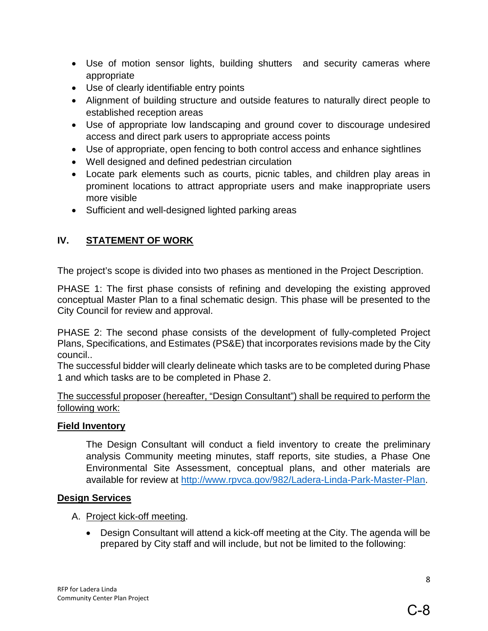- Use of motion sensor lights, building shutters and security cameras where appropriate
- Use of clearly identifiable entry points
- Alignment of building structure and outside features to naturally direct people to established reception areas
- Use of appropriate low landscaping and ground cover to discourage undesired access and direct park users to appropriate access points
- Use of appropriate, open fencing to both control access and enhance sightlines
- Well designed and defined pedestrian circulation
- Locate park elements such as courts, picnic tables, and children play areas in prominent locations to attract appropriate users and make inappropriate users more visible
- Sufficient and well-designed lighted parking areas

# **IV. STATEMENT OF WORK**

The project's scope is divided into two phases as mentioned in the Project Description.

PHASE 1: The first phase consists of refining and developing the existing approved conceptual Master Plan to a final schematic design. This phase will be presented to the City Council for review and approval.

PHASE 2: The second phase consists of the development of fully-completed Project Plans, Specifications, and Estimates (PS&E) that incorporates revisions made by the City council..

The successful bidder will clearly delineate which tasks are to be completed during Phase 1 and which tasks are to be completed in Phase 2.

The successful proposer (hereafter, "Design Consultant") shall be required to perform the following work:

#### **Field Inventory**

The Design Consultant will conduct a field inventory to create the preliminary analysis Community meeting minutes, staff reports, site studies, a Phase One Environmental Site Assessment, conceptual plans, and other materials are available for review at [http://www.rpvca.gov/982/Ladera-Linda-Park-Master-Plan.](http://www.rpvca.gov/982/Ladera-Linda-Park-Master-Plan)

#### **Design Services**

- A. Project kick-off meeting.
	- Design Consultant will attend a kick-off meeting at the City. The agenda will be prepared by City staff and will include, but not be limited to the following: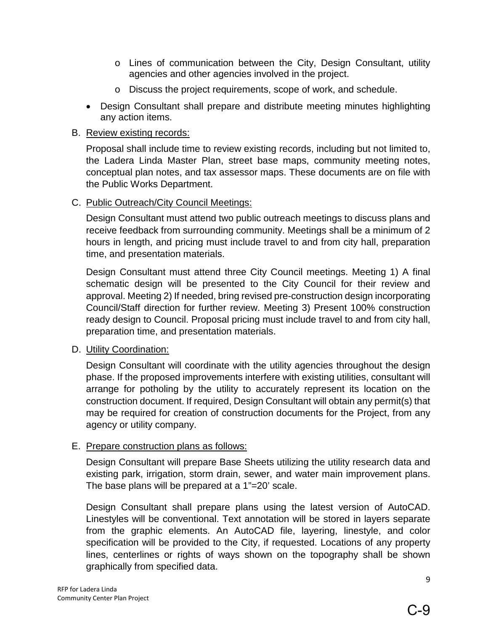- o Lines of communication between the City, Design Consultant, utility agencies and other agencies involved in the project.
- o Discuss the project requirements, scope of work, and schedule.
- Design Consultant shall prepare and distribute meeting minutes highlighting any action items.

#### B. Review existing records:

Proposal shall include time to review existing records, including but not limited to, the Ladera Linda Master Plan, street base maps, community meeting notes, conceptual plan notes, and tax assessor maps. These documents are on file with the Public Works Department.

#### C. Public Outreach/City Council Meetings:

Design Consultant must attend two public outreach meetings to discuss plans and receive feedback from surrounding community. Meetings shall be a minimum of 2 hours in length, and pricing must include travel to and from city hall, preparation time, and presentation materials.

Design Consultant must attend three City Council meetings. Meeting 1) A final schematic design will be presented to the City Council for their review and approval. Meeting 2) If needed, bring revised pre-construction design incorporating Council/Staff direction for further review. Meeting 3) Present 100% construction ready design to Council. Proposal pricing must include travel to and from city hall, preparation time, and presentation materials.

#### D. Utility Coordination:

Design Consultant will coordinate with the utility agencies throughout the design phase. If the proposed improvements interfere with existing utilities, consultant will arrange for potholing by the utility to accurately represent its location on the construction document. If required, Design Consultant will obtain any permit(s) that may be required for creation of construction documents for the Project, from any agency or utility company.

#### E. Prepare construction plans as follows:

Design Consultant will prepare Base Sheets utilizing the utility research data and existing park, irrigation, storm drain, sewer, and water main improvement plans. The base plans will be prepared at a 1"=20' scale.

Design Consultant shall prepare plans using the latest version of AutoCAD. Linestyles will be conventional. Text annotation will be stored in layers separate from the graphic elements. An AutoCAD file, layering, linestyle, and color specification will be provided to the City, if requested. Locations of any property lines, centerlines or rights of ways shown on the topography shall be shown graphically from specified data.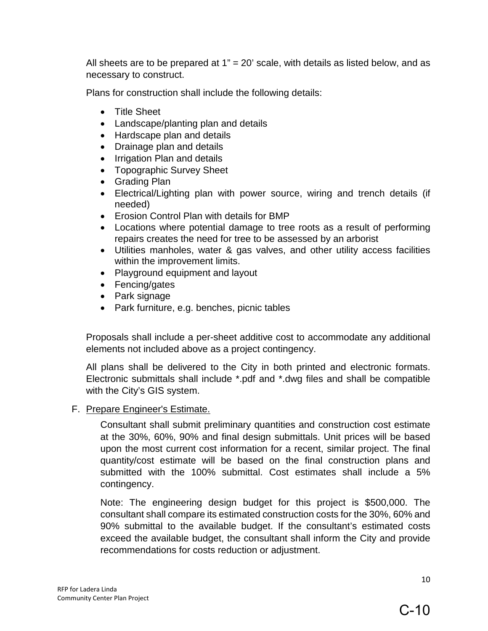All sheets are to be prepared at  $1" = 20'$  scale, with details as listed below, and as necessary to construct.

Plans for construction shall include the following details:

- Title Sheet
- Landscape/planting plan and details
- Hardscape plan and details
- Drainage plan and details
- Irrigation Plan and details
- Topographic Survey Sheet
- Grading Plan
- Electrical/Lighting plan with power source, wiring and trench details (if needed)
- Erosion Control Plan with details for BMP
- Locations where potential damage to tree roots as a result of performing repairs creates the need for tree to be assessed by an arborist
- Utilities manholes, water & gas valves, and other utility access facilities within the improvement limits.
- Playground equipment and layout
- Fencing/gates
- Park signage
- Park furniture, e.g. benches, picnic tables

Proposals shall include a per-sheet additive cost to accommodate any additional elements not included above as a project contingency.

All plans shall be delivered to the City in both printed and electronic formats. Electronic submittals shall include \*.pdf and \*.dwg files and shall be compatible with the City's GIS system.

#### F. Prepare Engineer's Estimate.

Consultant shall submit preliminary quantities and construction cost estimate at the 30%, 60%, 90% and final design submittals. Unit prices will be based upon the most current cost information for a recent, similar project. The final quantity/cost estimate will be based on the final construction plans and submitted with the 100% submittal. Cost estimates shall include a 5% contingency.

Note: The engineering design budget for this project is \$500,000. The consultant shall compare its estimated construction costs for the 30%, 60% and 90% submittal to the available budget. If the consultant's estimated costs exceed the available budget, the consultant shall inform the City and provide recommendations for costs reduction or adjustment.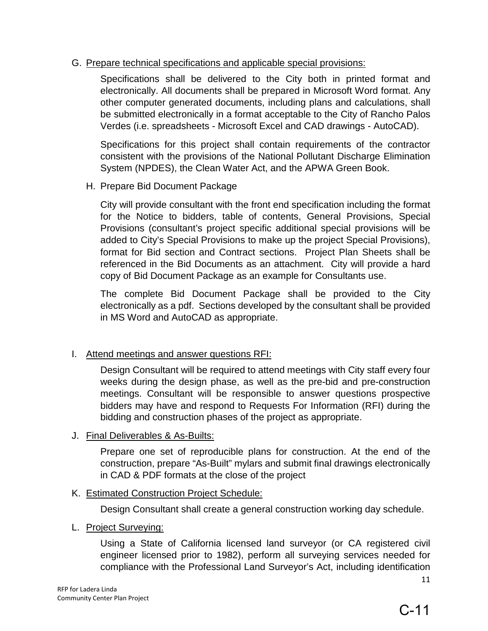#### G. Prepare technical specifications and applicable special provisions:

Specifications shall be delivered to the City both in printed format and electronically. All documents shall be prepared in Microsoft Word format. Any other computer generated documents, including plans and calculations, shall be submitted electronically in a format acceptable to the City of Rancho Palos Verdes (i.e. spreadsheets - Microsoft Excel and CAD drawings - AutoCAD).

Specifications for this project shall contain requirements of the contractor consistent with the provisions of the National Pollutant Discharge Elimination System (NPDES), the Clean Water Act, and the APWA Green Book.

H. Prepare Bid Document Package

City will provide consultant with the front end specification including the format for the Notice to bidders, table of contents, General Provisions, Special Provisions (consultant's project specific additional special provisions will be added to City's Special Provisions to make up the project Special Provisions), format for Bid section and Contract sections. Project Plan Sheets shall be referenced in the Bid Documents as an attachment. City will provide a hard copy of Bid Document Package as an example for Consultants use.

The complete Bid Document Package shall be provided to the City electronically as a pdf. Sections developed by the consultant shall be provided in MS Word and AutoCAD as appropriate.

#### I. Attend meetings and answer questions RFI:

Design Consultant will be required to attend meetings with City staff every four weeks during the design phase, as well as the pre-bid and pre-construction meetings. Consultant will be responsible to answer questions prospective bidders may have and respond to Requests For Information (RFI) during the bidding and construction phases of the project as appropriate.

#### J. Final Deliverables & As-Builts:

Prepare one set of reproducible plans for construction. At the end of the construction, prepare "As-Built" mylars and submit final drawings electronically in CAD & PDF formats at the close of the project

#### K. Estimated Construction Project Schedule:

Design Consultant shall create a general construction working day schedule.

#### L. Project Surveying:

Using a State of California licensed land surveyor (or CA registered civil engineer licensed prior to 1982), perform all surveying services needed for compliance with the Professional Land Surveyor's Act, including identification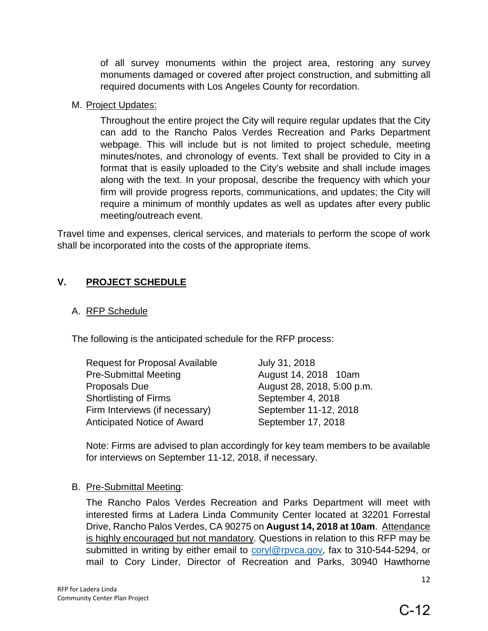of all survey monuments within the project area, restoring any survey monuments damaged or covered after project construction, and submitting all required documents with Los Angeles County for recordation.

#### M. Project Updates:

Throughout the entire project the City will require regular updates that the City can add to the Rancho Palos Verdes Recreation and Parks Department webpage. This will include but is not limited to project schedule, meeting minutes/notes, and chronology of events. Text shall be provided to City in a format that is easily uploaded to the City's website and shall include images along with the text. In your proposal, describe the frequency with which your firm will provide progress reports, communications, and updates; the City will require a minimum of monthly updates as well as updates after every public meeting/outreach event.

Travel time and expenses, clerical services, and materials to perform the scope of work shall be incorporated into the costs of the appropriate items.

# **V. PROJECT SCHEDULE**

#### A. RFP Schedule

The following is the anticipated schedule for the RFP process:

| <b>Request for Proposal Available</b> | July 31, 2018              |
|---------------------------------------|----------------------------|
| <b>Pre-Submittal Meeting</b>          | August 14, 2018 10am       |
| Proposals Due                         | August 28, 2018, 5:00 p.m. |
| <b>Shortlisting of Firms</b>          | September 4, 2018          |
| Firm Interviews (if necessary)        | September 11-12, 2018      |
| <b>Anticipated Notice of Award</b>    | September 17, 2018         |

Note: Firms are advised to plan accordingly for key team members to be available for interviews on September 11-12, 2018, if necessary.

#### B. Pre-Submittal Meeting:

The Rancho Palos Verdes Recreation and Parks Department will meet with interested firms at Ladera Linda Community Center located at 32201 Forrestal Drive, Rancho Palos Verdes, CA 90275 on **August 14, 2018 at 10am**. Attendance is highly encouraged but not mandatory. Questions in relation to this RFP may be submitted in writing by either email to [coryl@rpvca.gov,](mailto:coryl@rpvca.gov) fax to 310-544-5294, or mail to Cory Linder, Director of Recreation and Parks, 30940 Hawthorne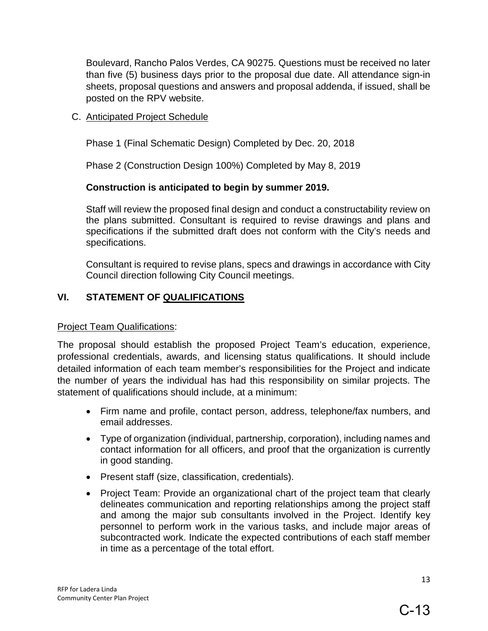Boulevard, Rancho Palos Verdes, CA 90275. Questions must be received no later than five (5) business days prior to the proposal due date. All attendance sign-in sheets, proposal questions and answers and proposal addenda, if issued, shall be posted on the RPV website.

C. Anticipated Project Schedule

Phase 1 (Final Schematic Design) Completed by Dec. 20, 2018

Phase 2 (Construction Design 100%) Completed by May 8, 2019

#### **Construction is anticipated to begin by summer 2019.**

Staff will review the proposed final design and conduct a constructability review on the plans submitted. Consultant is required to revise drawings and plans and specifications if the submitted draft does not conform with the City's needs and specifications.

Consultant is required to revise plans, specs and drawings in accordance with City Council direction following City Council meetings.

#### **VI. STATEMENT OF QUALIFICATIONS**

#### Project Team Qualifications:

The proposal should establish the proposed Project Team's education, experience, professional credentials, awards, and licensing status qualifications. It should include detailed information of each team member's responsibilities for the Project and indicate the number of years the individual has had this responsibility on similar projects. The statement of qualifications should include, at a minimum:

- Firm name and profile, contact person, address, telephone/fax numbers, and email addresses.
- Type of organization (individual, partnership, corporation), including names and contact information for all officers, and proof that the organization is currently in good standing.
- Present staff (size, classification, credentials).
- Project Team: Provide an organizational chart of the project team that clearly delineates communication and reporting relationships among the project staff and among the major sub consultants involved in the Project. Identify key personnel to perform work in the various tasks, and include major areas of subcontracted work. Indicate the expected contributions of each staff member in time as a percentage of the total effort.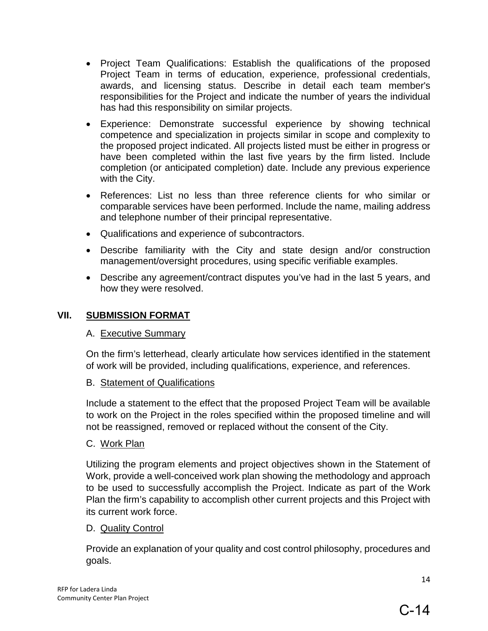- Project Team Qualifications: Establish the qualifications of the proposed Project Team in terms of education, experience, professional credentials, awards, and licensing status. Describe in detail each team member's responsibilities for the Project and indicate the number of years the individual has had this responsibility on similar projects.
- Experience: Demonstrate successful experience by showing technical competence and specialization in projects similar in scope and complexity to the proposed project indicated. All projects listed must be either in progress or have been completed within the last five years by the firm listed. Include completion (or anticipated completion) date. Include any previous experience with the City.
- References: List no less than three reference clients for who similar or comparable services have been performed. Include the name, mailing address and telephone number of their principal representative.
- Qualifications and experience of subcontractors.
- Describe familiarity with the City and state design and/or construction management/oversight procedures, using specific verifiable examples.
- Describe any agreement/contract disputes you've had in the last 5 years, and how they were resolved.

### **VII. SUBMISSION FORMAT**

#### A. Executive Summary

On the firm's letterhead, clearly articulate how services identified in the statement of work will be provided, including qualifications, experience, and references.

#### B. Statement of Qualifications

Include a statement to the effect that the proposed Project Team will be available to work on the Project in the roles specified within the proposed timeline and will not be reassigned, removed or replaced without the consent of the City.

# C. Work Plan

Utilizing the program elements and project objectives shown in the Statement of Work, provide a well-conceived work plan showing the methodology and approach to be used to successfully accomplish the Project. Indicate as part of the Work Plan the firm's capability to accomplish other current projects and this Project with its current work force.

# D. Quality Control

Provide an explanation of your quality and cost control philosophy, procedures and goals.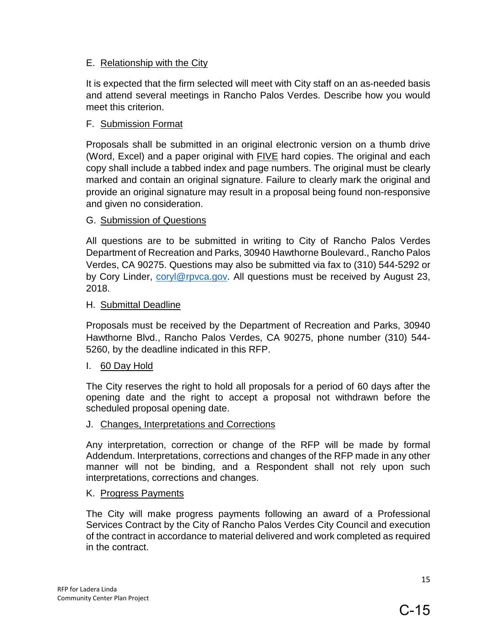#### E. Relationship with the City

It is expected that the firm selected will meet with City staff on an as-needed basis and attend several meetings in Rancho Palos Verdes. Describe how you would meet this criterion.

#### F. Submission Format

Proposals shall be submitted in an original electronic version on a thumb drive (Word, Excel) and a paper original with  $FIVE$  hard copies. The original and each copy shall include a tabbed index and page numbers. The original must be clearly marked and contain an original signature. Failure to clearly mark the original and provide an original signature may result in a proposal being found non-responsive and given no consideration.

#### G. Submission of Questions

All questions are to be submitted in writing to City of Rancho Palos Verdes Department of Recreation and Parks, 30940 Hawthorne Boulevard., Rancho Palos Verdes, CA 90275. Questions may also be submitted via fax to (310) 544-5292 or by Cory Linder, coryl@rpyca.gov. All questions must be received by August 23, 2018.

#### H. Submittal Deadline

Proposals must be received by the Department of Recreation and Parks, 30940 Hawthorne Blvd., Rancho Palos Verdes, CA 90275, phone number (310) 544- 5260, by the deadline indicated in this RFP.

#### I. 60 Day Hold

The City reserves the right to hold all proposals for a period of 60 days after the opening date and the right to accept a proposal not withdrawn before the scheduled proposal opening date.

#### J. Changes, Interpretations and Corrections

Any interpretation, correction or change of the RFP will be made by formal Addendum. Interpretations, corrections and changes of the RFP made in any other manner will not be binding, and a Respondent shall not rely upon such interpretations, corrections and changes.

#### K. Progress Payments

The City will make progress payments following an award of a Professional Services Contract by the City of Rancho Palos Verdes City Council and execution of the contract in accordance to material delivered and work completed as required in the contract.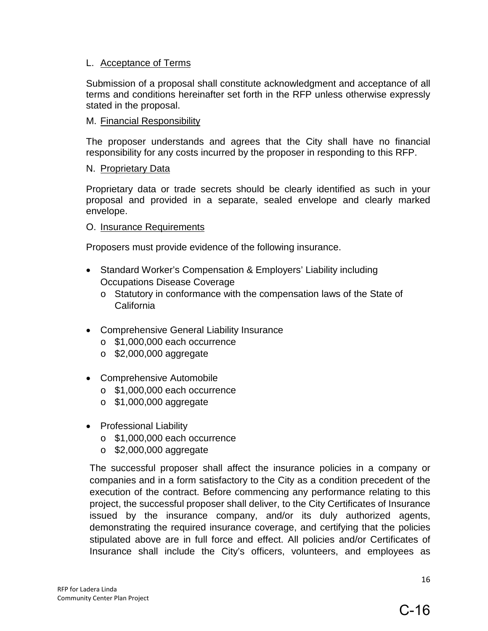#### L. Acceptance of Terms

Submission of a proposal shall constitute acknowledgment and acceptance of all terms and conditions hereinafter set forth in the RFP unless otherwise expressly stated in the proposal.

#### M. Financial Responsibility

The proposer understands and agrees that the City shall have no financial responsibility for any costs incurred by the proposer in responding to this RFP.

#### N. Proprietary Data

Proprietary data or trade secrets should be clearly identified as such in your proposal and provided in a separate, sealed envelope and clearly marked envelope.

#### O. Insurance Requirements

Proposers must provide evidence of the following insurance.

- Standard Worker's Compensation & Employers' Liability including Occupations Disease Coverage
	- o Statutory in conformance with the compensation laws of the State of California
- Comprehensive General Liability Insurance
	- o \$1,000,000 each occurrence
	- o \$2,000,000 aggregate
- Comprehensive Automobile
	- o \$1,000,000 each occurrence
	- o \$1,000,000 aggregate
- Professional Liability
	- o \$1,000,000 each occurrence
	- o \$2,000,000 aggregate

The successful proposer shall affect the insurance policies in a company or companies and in a form satisfactory to the City as a condition precedent of the execution of the contract. Before commencing any performance relating to this project, the successful proposer shall deliver, to the City Certificates of Insurance issued by the insurance company, and/or its duly authorized agents, demonstrating the required insurance coverage, and certifying that the policies stipulated above are in full force and effect. All policies and/or Certificates of Insurance shall include the City's officers, volunteers, and employees as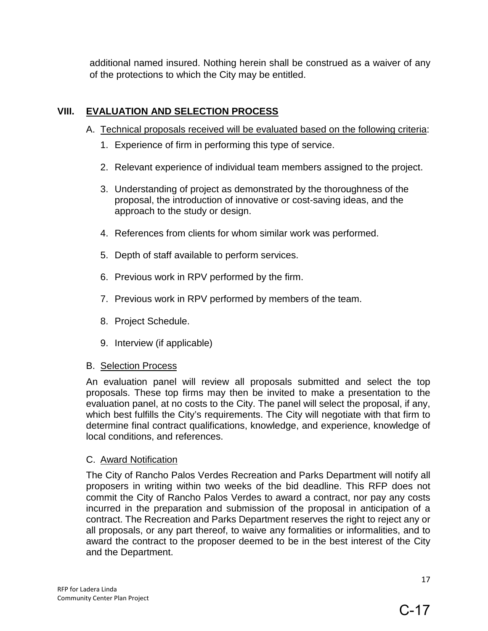additional named insured. Nothing herein shall be construed as a waiver of any of the protections to which the City may be entitled.

# **VIII. EVALUATION AND SELECTION PROCESS**

- A. Technical proposals received will be evaluated based on the following criteria:
	- 1. Experience of firm in performing this type of service.
	- 2. Relevant experience of individual team members assigned to the project.
	- 3. Understanding of project as demonstrated by the thoroughness of the proposal, the introduction of innovative or cost-saving ideas, and the approach to the study or design.
	- 4. References from clients for whom similar work was performed.
	- 5. Depth of staff available to perform services.
	- 6. Previous work in RPV performed by the firm.
	- 7. Previous work in RPV performed by members of the team.
	- 8. Project Schedule.
	- 9. Interview (if applicable)

#### B. Selection Process

An evaluation panel will review all proposals submitted and select the top proposals. These top firms may then be invited to make a presentation to the evaluation panel, at no costs to the City. The panel will select the proposal, if any, which best fulfills the City's requirements. The City will negotiate with that firm to determine final contract qualifications, knowledge, and experience, knowledge of local conditions, and references.

# C. Award Notification

The City of Rancho Palos Verdes Recreation and Parks Department will notify all proposers in writing within two weeks of the bid deadline. This RFP does not commit the City of Rancho Palos Verdes to award a contract, nor pay any costs incurred in the preparation and submission of the proposal in anticipation of a contract. The Recreation and Parks Department reserves the right to reject any or all proposals, or any part thereof, to waive any formalities or informalities, and to award the contract to the proposer deemed to be in the best interest of the City and the Department.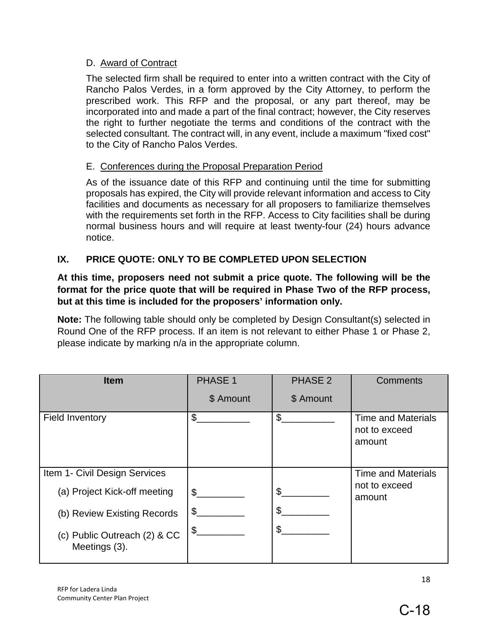#### D. Award of Contract

The selected firm shall be required to enter into a written contract with the City of Rancho Palos Verdes, in a form approved by the City Attorney, to perform the prescribed work. This RFP and the proposal, or any part thereof, may be incorporated into and made a part of the final contract; however, the City reserves the right to further negotiate the terms and conditions of the contract with the selected consultant. The contract will, in any event, include a maximum "fixed cost" to the City of Rancho Palos Verdes.

# E. Conferences during the Proposal Preparation Period

As of the issuance date of this RFP and continuing until the time for submitting proposals has expired, the City will provide relevant information and access to City facilities and documents as necessary for all proposers to familiarize themselves with the requirements set forth in the RFP. Access to City facilities shall be during normal business hours and will require at least twenty-four (24) hours advance notice.

# **IX. PRICE QUOTE: ONLY TO BE COMPLETED UPON SELECTION**

#### **At this time, proposers need not submit a price quote. The following will be the format for the price quote that will be required in Phase Two of the RFP process, but at this time is included for the proposers' information only.**

**Note:** The following table should only be completed by Design Consultant(s) selected in Round One of the RFP process. If an item is not relevant to either Phase 1 or Phase 2, please indicate by marking n/a in the appropriate column.

| <b>Item</b>                                   | <b>PHASE 1</b> | <b>PHASE 2</b> | <b>Comments</b>                                      |  |
|-----------------------------------------------|----------------|----------------|------------------------------------------------------|--|
|                                               | \$ Amount      | \$ Amount      |                                                      |  |
| <b>Field Inventory</b>                        | \$             | \$             | <b>Time and Materials</b><br>not to exceed<br>amount |  |
| Item 1- Civil Design Services                 |                |                | <b>Time and Materials</b>                            |  |
| (a) Project Kick-off meeting                  | \$             | \$             | not to exceed<br>amount                              |  |
| (b) Review Existing Records                   | \$             | \$             |                                                      |  |
| (c) Public Outreach (2) & CC<br>Meetings (3). | \$             | \$             |                                                      |  |